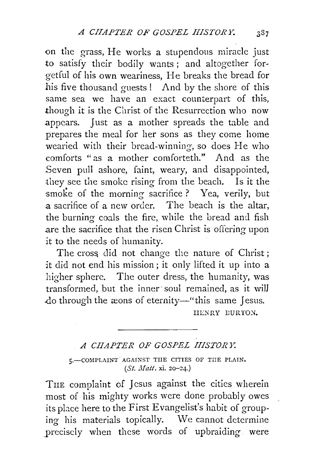<>n the grass, He works a stupendous miracle just to satisfy their bodily wants; and altogether forgetful of his own weariness, He breaks the bread for his five thousand guests ! And by the shore of this same sea we have an exact counterpart of this, though it is the Christ of the Resurrection who now appears. Just as a mother spreads the table and prepares the meal for her sons as they come home wearied with their bread-winning, so does He who comforts "as a mother comforteth." And as the .Seven pull ashore, faint, weary, and disappointed, they see the smoke rising from the beach. Is it the smoke of the morning sacrifice ? Yea, verily, but a sacrifice of a new order. The beach is the altar, the burning coals the fire, while the bread and fish .are the sacrifice that the risen Christ is offering upon it to the needs of humanity.

The cross did not change the nature of Christ; it did not end his mission; it only lifted it up into a higher sphere. The outer dress, the humanity, was transformed, but the inner· soul remained, as it will do through the æons of eternity-" this same Jesus.

HENRY BURTON.

## *A CHAPTER OF GOSPEL IIISTOR* 1:

5.-COMPLAINT AGAINST THE CITIES OF THE PLAIN. *(St. Matt. xi. 20-24.)* 

THE complaint of Jesus against the cities wherein most of his mighty works were done probably owes its place here to the First Evangelist's habit of grouping his materials topically. We cannot determine precisely when these words of upbraiding were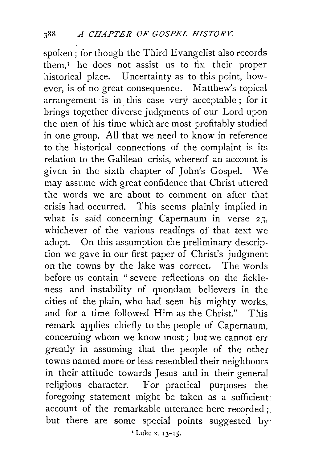spoken; for though the Third Evangelist also records them, $I$  he does not assist us to fix their proper historical place. Uncertainty as to this point, however, is of no great consequence. Matthew's topical arrangement is in this case very acceptable; for it brings together diverse judgments of our Lord upon the men of his time which are most profitably studied in one group. All that we need to know in reference . to the historical connections of the complaint is its relation to the Galilean crisis, whereof an account is given in the sixth chapter of John's Gospel. \Ve may assume with great confidence that Christ uttered the words we are about to comment on after that crisis had occurred. This seems plainly implied in what is said concerning Capernaum in verse *23.*  whichever of the various readings of that text we adopt. On this assumption the preliminary description we gave in our first paper of Christ's judgment on the towns by the lake was correct. The words before us contain " severe reflections on the fickleness and instability of quondam believers in the cities of the plain, who had seen his mighty works, and for a time followed Him as the Christ." This remark applies chiefly to the people of Capernaum, concerning whom we know most ; but we cannot err greatly in assuming that the people of the other towns named more or less resembled their neighbours in their attitude towards Jesus and in their general religious character. For practical purposes the foregoing statement might be taken as a sufficient: account of the remarkable utterance here recorded;. but there are some special points suggested by 'Luke x. 13-15.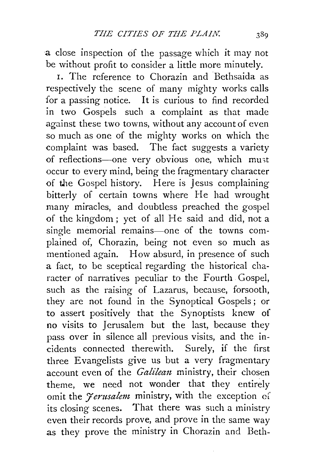a close inspection of the passage which it may not be without profit to consider a little more minutely.

r. The reference to Chorazin and Bethsaida as respectively the scene of many mighty works calls for a passing notice. It is curious to find recorded in two Gospels such a complaint as that made against these two towns, without any account of even so much as one of the mighty works on which the complaint was based. The fact suggests a variety of reflections-one very obvious one, which must occur to every mind, being the fragmentary character of the Gospel history. Here is Jesus complaining bitterly of certain towns where He had wrought many miracles, and doubtless preached the gospel of the kingdom; yet of all He said and did, not a single memorial remains-one of the towns complained of, Chorazin, being not even so much as mentioned again. How absurd, in presence of such a fact, to be sceptical regarding the historical character of narratives peculiar to the Fourth. Gospel, such as the raising of Lazarus, because, forsooth, they are not found in the Synoptical Gospels ; or to assert positively that the Synoptists knew of no visits to Jerusalem but the last, because they pass over **in** silence all previous visits, and the incidents connected therewith. Surely, **if** the first three Evangelists give us but a very fragmentary account even of the *Galilean* ministry, their chosen theme, we need not wonder that they entirely omit the *Jerusalem* ministry, with the exception of its closing scenes. That there was such a ministry even their records prove, and prove in the same way as they prove the ministry in Chorazin and Beth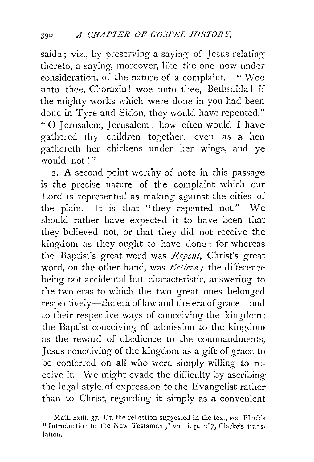saida; viz., by preserving a saying of Jesus relatingthereto, a saying, moreover, like the one now under consideration, of the nature of a complaint. "Woe unto thee, Chorazin! woe unto thee, Bethsaida ! if the mighty works which were done in you had been done in Tyre and Sidon, they would have repented." " O Jerusalem, Jerusalem ! how often would I have gathered thy children together, even as a hen gathereth her chickens under her wings, and ve would not ! '' r

2. A second point worthy of note in this passage is the precise nature of the complaint which our Lord is represented as making against the cities of the plain. It is that "they repented not." We should rather have expected it to have been that they believed not, or that they did not receive the kingdom as they ought to have done ; for whereas the Baptist's great word was *Repent*, Christ's great word, on the other hand, was *Believe;* the difference being not accidental but characteristic, answering to the two eras to which the two great ones belonged respectively-the era of law and the era of grace-and to their respective ways of conceiving the kingdom: the Baptist conceiving of admission to the kingdom as the reward of obedience to the commandments, Jesus conceiving of the kingdom as a gift of grace to be conferred on all who were simply willing to receive it. We might evade the difficulty by ascribing the legal style of expression to the Evangelist rather than to Christ, regarding it simply as a convenient

<sup>&#</sup>x27;Matt. xxiii. 37. On the reflection suggested in the text, see Bleek's "Introduction to the New Testament," vol. i. p.  $287$ , Clarke's translation.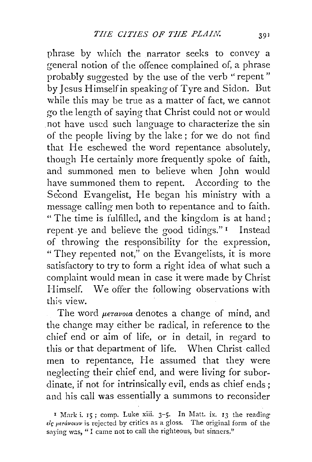phrase by which the narrator seeks to convey a general notion of the offence complained of, a phrase probably suggested by the use of the verb "repent" by Jesus Himself in speaking of Tyre and Sidon. But while this may be true as a matter of fact, we cannot go the length of saying that Christ could not or would .not have used such language to characterize the sin of the people living by the lake ; for we do not find that He eschewed the word repentance absolutely, though He certainly more frequently spoke of faith, and summoned men to believe when John would have summoned them to repent. According to the Second Evangelist, He began his ministry with a message calling men both to repentance and to faith. " The time is fulfilled, and the kingdom is at hand; repent. ye and believe the good tidings." 1 Instead of throwing the responsibility for the expression, "They repented not," on the Evangelists, it is more satisfactory to try to form a right idea of what such a complaint would mean in case it were made by Christ Himself. We offer the following observations with this view.

The word  $\mu$ <sub>e</sub> $\tau$ avota denotes a change of mind, and the change may either be radical, in reference to the chief end or aim of life, or in detail, in regard to this or that department of life. When Christ called men to repentance, He assumed that they were neglecting their chief end, and were living for subordinate, if not for intrinsically evil, ends as chief ends ; and his call was essentially a summons to reconsider

<sup>1</sup> Mark i. 15; comp. Luke xiii. 3-5. In Matt. ix. 13 the reading  $\epsilon$ *iς μετάνοιαν* is rejected by critics as a gloss. The original form of the saying was, "I came not to call the righteous, but sinners."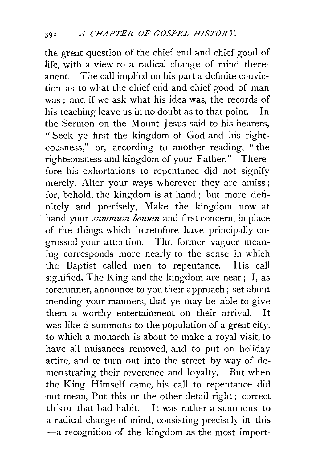the great question of the chief end and chief good of life, with a view to a radical change of mind thereanent. The call implied on his part a definite conviction as to what the chief erid and chief good of man was; and if we ask what his idea was, the records of his teaching leave us in no doubt as to that point. In the Sermon on the Mount Jesus said to his hearers, " Seek ye first the kingdom of God and his righteousness," or, according to another reading, "the righteousness and kingdom of your Father." Therefore his exhortations to repentance did not signify merely, Alter your ways wherever they are amiss; for, behold, the kingdom is at hand ; but more definitely and precisely, Make the kingdom now at hand your *summum bonum* and first concern, in place of the things which heretofore have principally engrossed your attention. The former vaguer meaning corresponds more nearly to the sense in which the Baptist called men to repentance. His call signified, The King and the kingdom are near; I, as forerunner, announce to you their approach; set about mending your manners, that ye may be able to give them a worthy entertainment on their arrival. It was like a summons to the population of a great city, to which a monarch is about to make a royal visit, to have all nuisances removed, and to put on holiday attire, and to turn out into the street by way of demonstrating their reverence and loyalty. But when the King Himself came, his call to repentance did not mean, Put this or the other detail right ; correct this or that bad habit. It was rather a summons to a radical change of mind, consisting precisely in this -a recognition of the kingdom as the most import-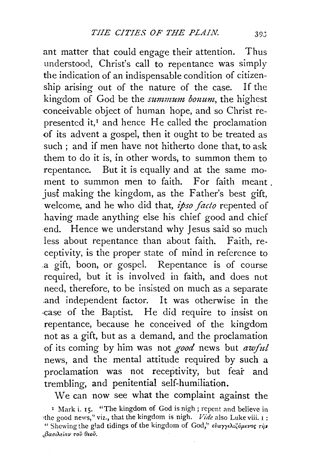ant matter that could engage their attention. Thus understood, Christ's call to repentance was simply the indication of an indispensable condition of citizenship arising out of the nature of the case. If the kingdom of God be the *summum bonum*, the highest conceivable object of human hope, and so Christ represented it, $<sup>I</sup>$  and hence He called the proclamation</sup> of its advent a gospel, then it ought to be treated as such ; and if men have not hitherto done that, to ask them to do it is, in other words, to summon them to repentance. But it is equally and at the same moment to summon men to faith. For faith meant. just making the kingdom, as the Father's best gift, welcome, and he who did that, *ipso facto* repented of having made anything else his chief good and chief ·end. Hence we understand why Jesus said so much less about repentance than about faith. Faith, receptivity, is the proper state of mind in reference to .a gift, boon, or gospel. Repentance is of course required, but it is involved in faith, and does not need, therefore, to be insisted on much as a separate .and independent factor. It was otherwise in the .case of the Baptist. He did require to insist on repentance, because he conceived of the kingdom not as a gift, but as a demand, and the proclamation of its coming by him was not *good* news but *awful*  news, and the mental attitude required by such a proclamation was not receptivity, but fear and trembling, and penitential self-humiliation.

We can now see what the complaint against the

<sup>&</sup>lt;sup>1</sup> Mark i. 15. "The kingdom of God is nigh; repent and believe in 1the good news,'' viz., that the kingdom is nigh. *Vide* also Luke viii. I : " Shewing the glad tidings of the kingdom of God," ευαγγελιζύμενος την *,,BarnXEiav roil ewv.*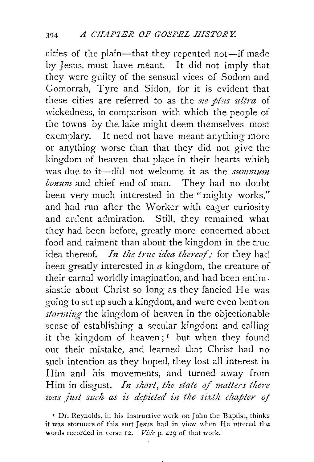cities of the plain-that they repented not-if made by Jesus, must have meant. It did not imply that they were guilty of the sensual vices of Sodom and Gomorrah, Tyre and Sidon, for it is evident that these cities are referred to as the *sze plus ultra* of wickedness, in comparison with which the people of the towns by the lake might deem themselves most exemplary. It need not have meant anything more or anything worse than that they did not give the kingdom of heaven that place in their hearts which was due to it-did not welcome it as the *summum bonum* and chief end of man. They had no doubt been very much interested in the "mighty works," and had run after the Worker with eager curiosity and ardent admiration. Still, they remained what they had been before, greatly more concerned about food and raiment than about the kingdom in the true idea thereof. *In the true idea thereof*; for they had been greatly interested in *a* kingdom, the creature of their carnal worldly imagination, and had been enthusiastic about Christ so long as they fancied He was going to set up such a kingdom, and were even bent on *storming* the kingdom of heaven in the objectionable sense of establishing a secular kingdom and calling it the kingdom of heaven;<sup> $I$ </sup> but when they found out their mistake, and learned that Christ had no such intention as they hoped, they lost all interest in Him and his movements, and turned away from Him in disgust. *In short, the state of matters there was just such as is depicted in the sixth chapter of* 

' Dr. Reynolds, in his instructive work on John the Baptist, thinks. it was stonners of this sort Jesus had in view when He uttered the words recorded in verse 12. *Vide* p. 429 of that work.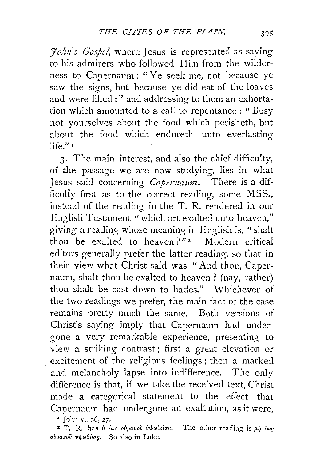*./o/m's Gospel,* where Jesus is represented as saying to his admirers who followed Him from the wilderness to Capernaum : "Ye seek me, not because ye saw the signs, but because ye did eat of the loaves and were filled ; " and addressing to them an exhortation which amounted to a call to repentance : " Busy not yourselves about the food which perisheth, but about the food which endureth unto everlasting  $l$ ife $"$ <sup>1</sup>

3· The main interest, and also the chief difficulty, of the passage we are now studying, lies in what Jesus said concerning *Capenzaum.* There is a difficulty first as to the correct reading, some MSS., instead of the reading in the T. R. rendered in our Englisli Testament "which art exalted unto heaven," giving a reading whose meaning in English is, "shalt thou be exalted to heaven?"<sup>2</sup> Modern critical editors generally prefer the latter reading, so that in their view what Christ said was, "And thou, Capernaum, shalt thou be exalted to heaven? (nay, rather) thou shalt be cast down to hades." Whichever of the two readings we prefer, the main fact of the case remains pretty much the same. Both versions of Christ's saying imply that Capcrnaum had undergone a very remarkable experience, presenting to view a striking contrast; first a great elevation or . excitement of the religious feelings; then a marked and melancholy lapse into indifference. The only difference is that, if we take the received text, Christ made a categorical statement to the effect that Capernaum had undergone an exaltation, as it were,  $\frac{1}{\sqrt{2}}$  John vi. 26, 27.

**2** T. R. has  $\hat{\eta}$  las olyavov  $\hat{v}\psi$ w*celoa*. The other reading is  $\mu\hat{\eta}$  lwg. *ovparov v* $\psi$ ωθήση. So also in Luke.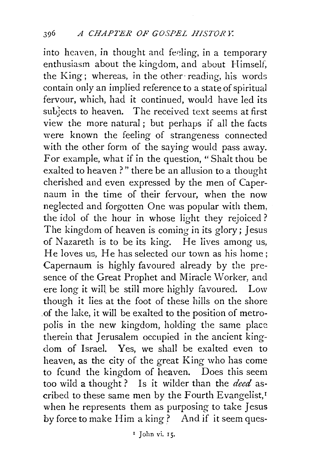into heaven, in thought and feeling, in a temporary enthusiasm about the kingdom, and about Himself, the King; whereas, in the other· reading, his words contain only an implied reference to a state of spiritual fervour, which, had it continued, would have led its subjects to heaven. The received text seems at first view the more natural ; but perhaps if all the facts were known the feeling of strangeness connected with the other form of the saying would pass away. For example, what if in the question, "Shalt thou be exalted to heaven?" there be an allusion to a thought cherished and even expressed by the men of Capernaum in the time of their fervour, when the now neglected and forgotten One was popular with them, the idol of the hour in whose light they rejoiced? The kingdom of heaven is coming in its glory; Jesus of Nazareth is to be its king. He lives among us, He loves us, He has selected our town as his home; Capernaum is highly favoured already by the presence of the Great Prophet and Miracle \Vorker, and ere long it will be still more highly favoured. Low though it lies at the foot of these hills on the shore .of the lake, it will be exalted to the position of metropolis in the new kingdom, holding the same place therein that Jerusalem occupied in the ancient kingdom of Israel. Yes, we shall be exalted even to heaven, as the city of the great King who has come to fcund the kingdom of heaven. Does this seem too wild a thought ? Is it wilder than the *deed* ascribed to these same men by the Fourth Evangelist,<sup>1</sup> when he represents them as purposing to take Jesus by force to make Him a king? And if it seem ques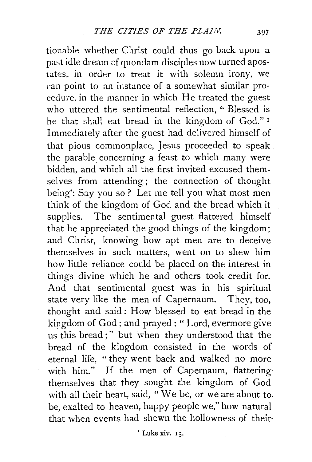tionable whether Christ could thus go back upon a past idle dream of quondam disciples now turned apostates, in order to treat it with solemn irony, we can point to an instance of a somewhat similar procedure, in the manner in which He treated the guest who uttered the sentimental reflection, "Blessed is he that shall eat bread in the kingdom of God." <sup>I</sup> Immediately after the guest had delivered himself of that pious commonplace, Jesus proceeded to speak the parable concerning a feast to which many were bidden, and which all the first invited excused themselves from attending; the connection of thought being: Say you so? Let me tell you what most men think of the kingdom of God and the bread which it supplies. The sentimental guest flattered himself that he appreciated the good things of the kingdom; and Christ, knowing how apt men are to deceive themselves in such matters, went on to shew him how little reliance could be placed on the interest in things divine which he and others took credit for. And that sentimental guest was in his spiritual state very like the men of Capernaum. They, too, thought and said: How blessed to eat bread in the kingdom of God ; and prayed : " Lord, evermore give us this bread;" .but when they understood that the bread of the kingdom consisted in the words of eternal life, " they went back and walked no more with him." If the men of Capernaum, flattering themselves that they sought the kingdom of God with all their heart, said, "We be, or we are about to. be, exalted to heaven, happy people we," how natural that when events had shewn the hollowness of their·

 $^1$  Luke xiv. 15.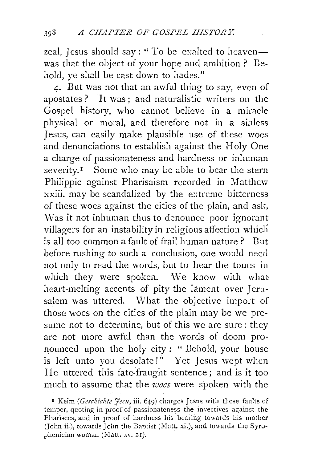zeal, Jesus should say: " To be exalted to heavenwas that the object of your hope and ambition ? Dehold, ye shall be cast down to hades."

4· But was not that an awful thing to say, even of apostates ? It was ; and naturalistic writers on the Gospel history, who cannot believe in a miracle physical or moral, and therefore not in a sinless Jesus, can easily make plausible use of these woes and denunciations to establish against the Holy One a charge of passionateness and hardness or inhuman severity.<sup>1</sup> Some who may be able to bear the stern Philippic against Pharisaism recorded in Matthew xxiii. may be scandalized by the extreme bitterness of these woes against the cities of the plain, and ask, Was it not inhuman thus to denounce poor ignorant villagers for an instability in religious affection which is all too common a fault of frail human nature? But before rushing to such a conclusion, one would neccl not only to read the words, but to hear the tones in which they were spoken. We know with what heart-melting accents of pity the lament over Jerusalem was uttered. What the objective import of those woes on the cities of the plain may be we presume not to determine, but of this we are sure: they are not more awful than the words of doom pronounced upon the holy city: " Dehold, your house is left unto you desolate!" Yet Jesus wept when He uttered this fate-fraught sentence; and is it too much to assume that the *woes* were spoken with the

r Keim *(Geschichte Jesu,* iii. 649) charges Jesus with these faults of temper, quoting in proof of passionateness the invectives against the Pharisees, and in proof of hardness his bearing towards his mother (John ii.), towards John the Baptist (Matt. xi.), and towards the Syrophenician woman (Matt. xv. 21).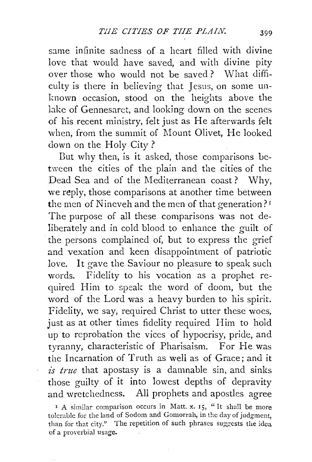same infinite sadness of a heart filled with divine love that would have saved, and with divine pity over those who would not be saved? What difficulty is there in believing that Jesus, on some unknown occasion, stood on the heights above the lake of Gennesaret, and looking down on the scenes of his recent ministry, felt just as He afterwards felt when, from the summit of Mount Olivet, He looked down on the Holy City ?

But why then, is it asked, those comparisons between the cities of the plain and the cities of the Dead Sea and of the Mediterranean coast? Why, we reply, those comparisons at another time between the men of Nineveh and the men of that generation?<sup>I</sup> The purpose of all these comparisons was not deliberately and in cold blood to enhance the guilt of the persons complained of, but to express the grief and vexation and keen disappointment of patriotic love. It gave the Saviour no pleasure to speak such words. Fidelity to his vocation as a prophet required Him to speak the word of doom, but the word of the Lord was a heavy burden to his spirit. Fidelity, we say, required Christ to utter these woes, just as at other times fidelity required Him to hold up to reprobation the vices of hypocrisy, pride, and tyranny, characteristic of Pharisaism. For He was the Incarnation of Truth as well as of Grace; and it *is true* that apostasy is a damnable sin, and sinks those guilty of it into lowest depths of depravity and wretchedness. All prophets and apostles agree

 $1 A$  similar comparison occurs in Matt. x. 15, "It shall be more tolerable for the land of Sodom and Gomorrah, in the day of judgment, than for that city." The repetition of such phrases suggests the idea of a proverbial usage.